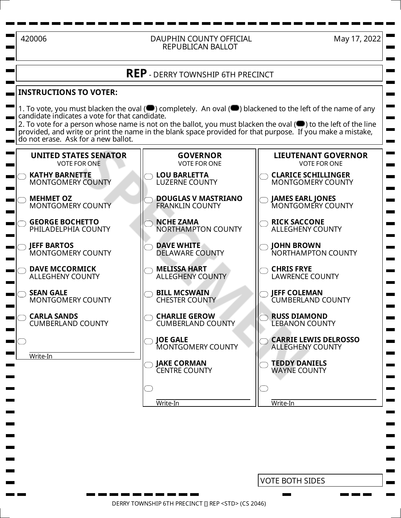## 420006 DAUPHIN COUNTY OFFICIAL REPUBLICAN BALLOT

May 17, 2022

## **REP** - DERRY TOWNSHIP 6TH PRECINCT

## **INSTRUCTIONS TO VOTER:**

1. To vote, you must blacken the oval ( $\bullet$ ) completely. An oval ( $\bullet$ ) blackened to the left of the name of any candidate indicates a vote for that candidate.

2. To vote for a person whose name is not on the ballot, you must blacken the oval  $(\bullet)$  to the left of the line provided, and write or print the name in the blank space provided for that purpose. If you make a mistake, do not erase. Ask for a new ballot.



VOTE BOTH SIDES